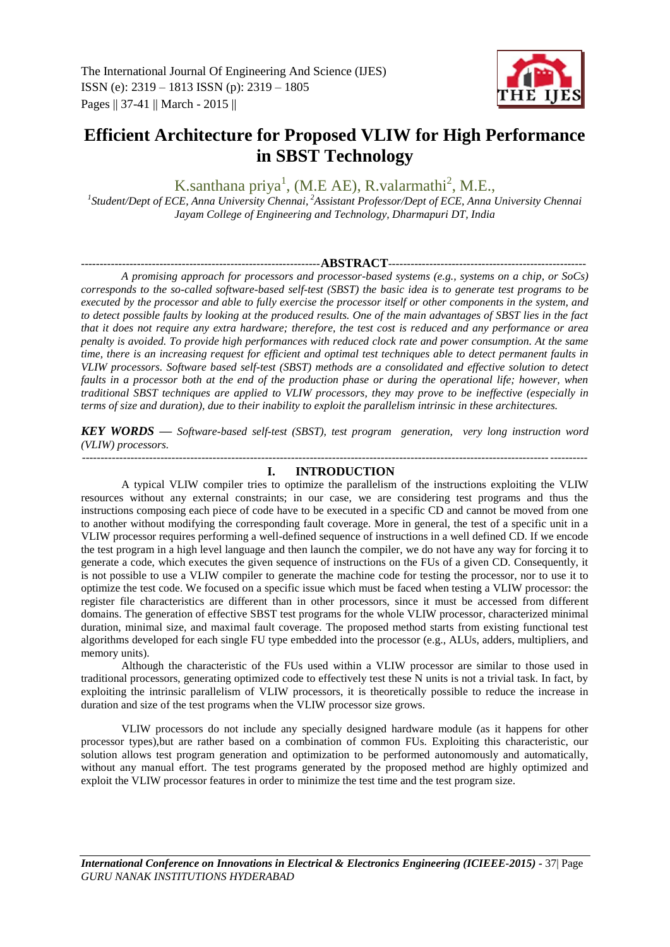

# **Efficient Architecture for Proposed VLIW for High Performance in SBST Technology**

K.santhana priya<sup>1</sup>, (M.E AE), R.valarmathi<sup>2</sup>, M.E.,

*1 Student/Dept of ECE, Anna University Chennai, <sup>2</sup>Assistant Professor/Dept of ECE, Anna University Chennai Jayam College of Engineering and Technology, Dharmapuri DT, India*

## ----------------------------------------------------------------**ABSTRACT**-----------------------------------------------------

*A promising approach for processors and processor-based systems (e.g., systems on a chip, or SoCs) corresponds to the so-called software-based self-test (SBST) the basic idea is to generate test programs to be executed by the processor and able to fully exercise the processor itself or other components in the system, and to detect possible faults by looking at the produced results. One of the main advantages of SBST lies in the fact that it does not require any extra hardware; therefore, the test cost is reduced and any performance or area penalty is avoided. To provide high performances with reduced clock rate and power consumption. At the same time, there is an increasing request for efficient and optimal test techniques able to detect permanent faults in VLIW processors. Software based self-test (SBST) methods are a consolidated and effective solution to detect*  faults in a processor both at the end of the production phase or during the operational life; however, when *traditional SBST techniques are applied to VLIW processors, they may prove to be ineffective (especially in terms of size and duration), due to their inability to exploit the parallelism intrinsic in these architectures.* 

*KEY WORDS — Software-based self-test (SBST), test program generation, very long instruction word (VLIW) processors.*

#### --------------------------------------------------------------------------------------------------------------------------------------- **I. INTRODUCTION**

A typical VLIW compiler tries to optimize the parallelism of the instructions exploiting the VLIW resources without any external constraints; in our case, we are considering test programs and thus the instructions composing each piece of code have to be executed in a specific CD and cannot be moved from one to another without modifying the corresponding fault coverage. More in general, the test of a specific unit in a VLIW processor requires performing a well-defined sequence of instructions in a well defined CD. If we encode the test program in a high level language and then launch the compiler, we do not have any way for forcing it to generate a code, which executes the given sequence of instructions on the FUs of a given CD. Consequently, it is not possible to use a VLIW compiler to generate the machine code for testing the processor, nor to use it to optimize the test code. We focused on a specific issue which must be faced when testing a VLIW processor: the register file characteristics are different than in other processors, since it must be accessed from different domains. The generation of effective SBST test programs for the whole VLIW processor, characterized minimal duration, minimal size, and maximal fault coverage. The proposed method starts from existing functional test algorithms developed for each single FU type embedded into the processor (e.g., ALUs, adders, multipliers, and memory units).

Although the characteristic of the FUs used within a VLIW processor are similar to those used in traditional processors, generating optimized code to effectively test these N units is not a trivial task. In fact, by exploiting the intrinsic parallelism of VLIW processors, it is theoretically possible to reduce the increase in duration and size of the test programs when the VLIW processor size grows.

VLIW processors do not include any specially designed hardware module (as it happens for other processor types),but are rather based on a combination of common FUs. Exploiting this characteristic, our solution allows test program generation and optimization to be performed autonomously and automatically, without any manual effort. The test programs generated by the proposed method are highly optimized and exploit the VLIW processor features in order to minimize the test time and the test program size.

*International Conference on Innovations in Electrical & Electronics Engineering (ICIEEE-2015) -* 37| Page *GURU NANAK INSTITUTIONS HYDERABAD*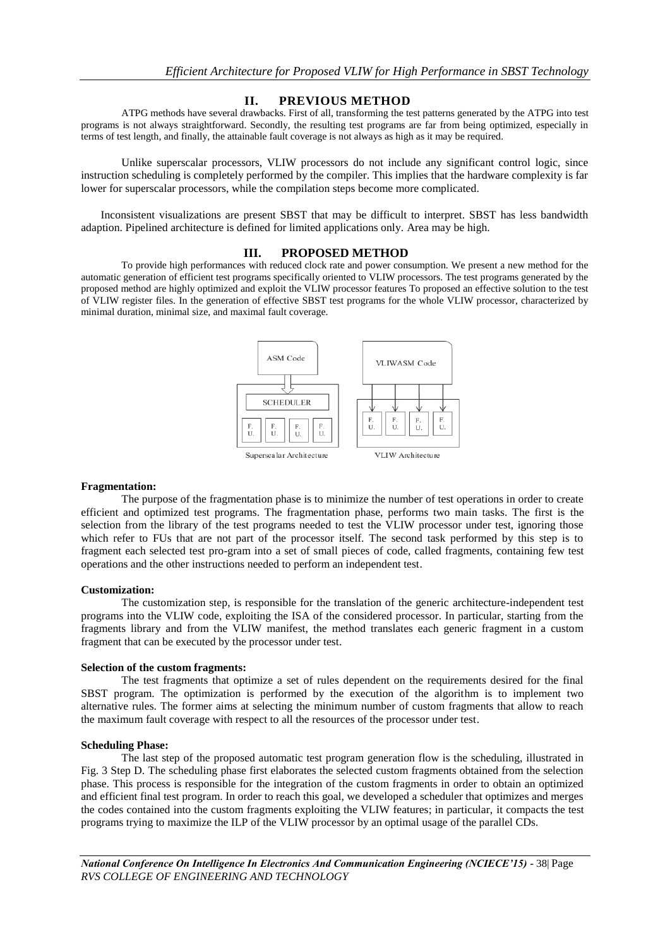## **II. PREVIOUS METHOD**

ATPG methods have several drawbacks. First of all, transforming the test patterns generated by the ATPG into test programs is not always straightforward. Secondly, the resulting test programs are far from being optimized, especially in terms of test length, and finally, the attainable fault coverage is not always as high as it may be required.

Unlike superscalar processors, VLIW processors do not include any significant control logic, since instruction scheduling is completely performed by the compiler. This implies that the hardware complexity is far lower for superscalar processors, while the compilation steps become more complicated.

 Inconsistent visualizations are present SBST that may be difficult to interpret. SBST has less bandwidth adaption. Pipelined architecture is defined for limited applications only. Area may be high.

#### **III. PROPOSED METHOD**

To provide high performances with reduced clock rate and power consumption. We present a new method for the automatic generation of efficient test programs specifically oriented to VLIW processors. The test programs generated by the proposed method are highly optimized and exploit the VLIW processor features To proposed an effective solution to the test of VLIW register files. In the generation of effective SBST test programs for the whole VLIW processor, characterized by minimal duration, minimal size, and maximal fault coverage.



#### **Fragmentation:**

The purpose of the fragmentation phase is to minimize the number of test operations in order to create efficient and optimized test programs. The fragmentation phase, performs two main tasks. The first is the selection from the library of the test programs needed to test the VLIW processor under test, ignoring those which refer to FUs that are not part of the processor itself. The second task performed by this step is to fragment each selected test pro-gram into a set of small pieces of code, called fragments, containing few test operations and the other instructions needed to perform an independent test.

#### **Customization:**

The customization step, is responsible for the translation of the generic architecture-independent test programs into the VLIW code, exploiting the ISA of the considered processor. In particular, starting from the fragments library and from the VLIW manifest, the method translates each generic fragment in a custom fragment that can be executed by the processor under test.

#### **Selection of the custom fragments:**

The test fragments that optimize a set of rules dependent on the requirements desired for the final SBST program. The optimization is performed by the execution of the algorithm is to implement two alternative rules. The former aims at selecting the minimum number of custom fragments that allow to reach the maximum fault coverage with respect to all the resources of the processor under test.

#### **Scheduling Phase:**

The last step of the proposed automatic test program generation flow is the scheduling, illustrated in Fig. 3 Step D. The scheduling phase first elaborates the selected custom fragments obtained from the selection phase. This process is responsible for the integration of the custom fragments in order to obtain an optimized and efficient final test program. In order to reach this goal, we developed a scheduler that optimizes and merges the codes contained into the custom fragments exploiting the VLIW features; in particular, it compacts the test programs trying to maximize the ILP of the VLIW processor by an optimal usage of the parallel CDs.

*National Conference On Intelligence In Electronics And Communication Engineering (NCIECE'15) -* 38| Page *RVS COLLEGE OF ENGINEERING AND TECHNOLOGY*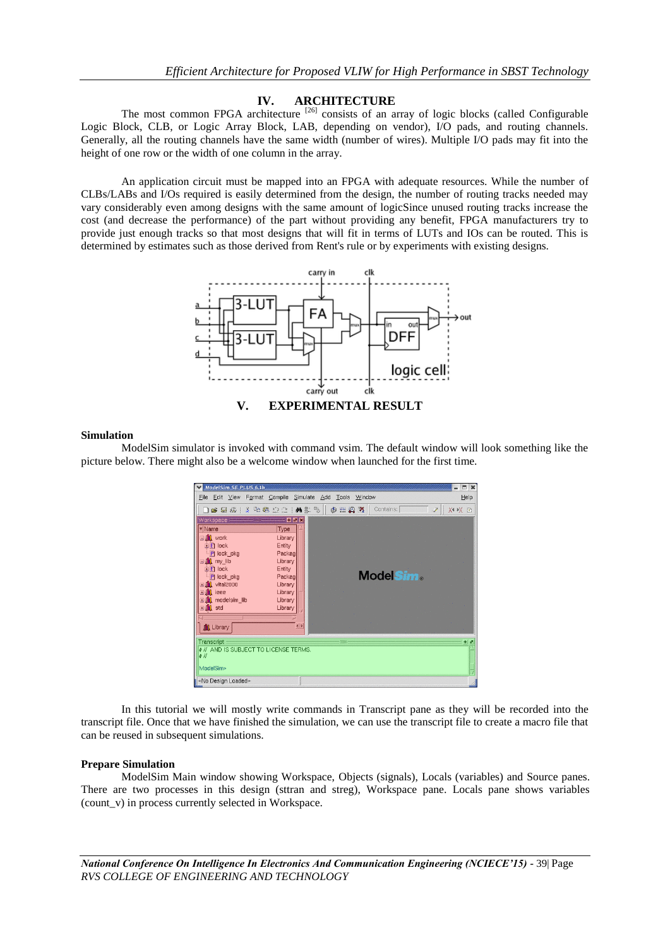## **IV. ARCHITECTURE**

The most common FPGA architecture <sup>[\[26\]](http://en.wikipedia.org/wiki/Field-programmable_gate_array#cite_note-25)</sup> consists of an array of logic blocks (called Configurable Logic Block, CLB, or Logic Array Block, LAB, depending on vendor), I/O pads, and routing channels. Generally, all the routing channels have the same width (number of wires). Multiple I/O pads may fit into the height of one row or the width of one column in the array.

An application circuit must be mapped into an FPGA with adequate resources. While the number of CLBs/LABs and I/Os required is easily determined from the design, the number of routing tracks needed may vary considerably even among designs with the same amount of logicSince unused routing tracks increase the cost (and decrease the performance) of the part without providing any benefit, FPGA manufacturers try to provide just enough tracks so that most designs that will fit in terms of LUTs and IOs can be routed. This is determined by estimates such as those derived from [Rent's rule](http://en.wikipedia.org/wiki/Rent%27s_rule) or by experiments with existing designs.



#### **Simulation**

ModelSim simulator is invoked with command vsim. The default window will look something like the picture below. There might also be a welcome window when launched for the first time.

| $\square$ $\times$<br>ModelSim SE PLUS 6.1b                                                                                                                                                                                               |                                                                                                                             |                                                           |       |
|-------------------------------------------------------------------------------------------------------------------------------------------------------------------------------------------------------------------------------------------|-----------------------------------------------------------------------------------------------------------------------------|-----------------------------------------------------------|-------|
| Format Compile<br>Simulate Add<br>Tools Window<br>File Edit View                                                                                                                                                                          |                                                                                                                             |                                                           | Help  |
| $\Box$ . $\Box$ . $\Box$                                                                                                                                                                                                                  | A & &<br>3 临岛 121                                                                                                           | $\circledast$ $\mathbb{Z}$ $\mathbb{X}$<br>Contains:<br>3 | ※ ※ 图 |
| Workspace =<br>= www<br>* Name<br>$\Box$ <b>In</b> work<br>$E$ lock<br>P lock pkg<br>⊟ f <mark>il</mark> l my_lib<br>$E$ lock<br>P lock_pkg<br>DI vital2000<br>ieee<br>÷л<br>modelsim_lib<br>⊕ <mark>f</mark> il std<br><b>IN</b> Library | 田田区<br>Type<br>Library<br>Entity<br>Packag<br>Library<br>Entity<br>Packag<br>Library<br>Library<br>Library<br>Library<br>1) | Model Sim.                                                |       |
| <b>Transcript</b><br>土团<br>33391<br># // AND IS SUBJECT TO LICENSE TERMS.<br># //<br>ModelSim><br><no design="" loaded=""></no>                                                                                                           |                                                                                                                             |                                                           |       |

In this tutorial we will mostly write commands in Transcript pane as they will be recorded into the transcript file. Once that we have finished the simulation, we can use the transcript file to create a macro file that can be reused in subsequent simulations.

#### **Prepare Simulation**

ModelSim Main window showing Workspace, Objects (signals), Locals (variables) and Source panes. There are two processes in this design (sttran and streg), Workspace pane. Locals pane shows variables (count\_v) in process currently selected in Workspace.

*National Conference On Intelligence In Electronics And Communication Engineering (NCIECE'15) -* 39| Page *RVS COLLEGE OF ENGINEERING AND TECHNOLOGY*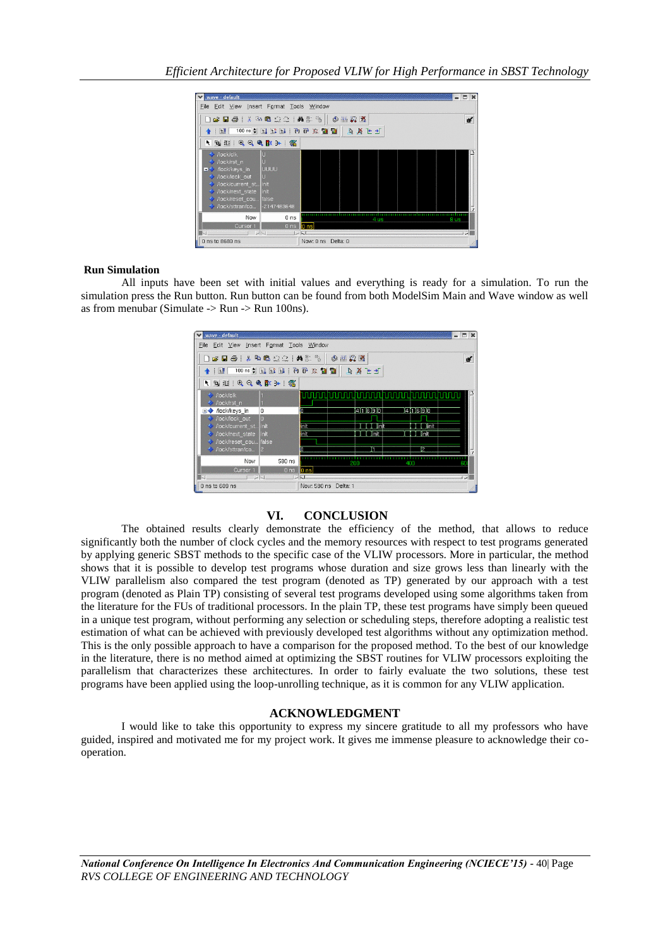

#### **Run Simulation**

All inputs have been set with initial values and everything is ready for a simulation. To run the simulation press the Run button. Run button can be found from both ModelSim Main and Wave window as well as from menubar (Simulate  $\rightarrow$  Run  $\rightarrow$  Run 100ns).



#### **VI. CONCLUSION**

The obtained results clearly demonstrate the efficiency of the method, that allows to reduce significantly both the number of clock cycles and the memory resources with respect to test programs generated by applying generic SBST methods to the specific case of the VLIW processors. More in particular, the method shows that it is possible to develop test programs whose duration and size grows less than linearly with the VLIW parallelism also compared the test program (denoted as TP) generated by our approach with a test program (denoted as Plain TP) consisting of several test programs developed using some algorithms taken from the literature for the FUs of traditional processors. In the plain TP, these test programs have simply been queued in a unique test program, without performing any selection or scheduling steps, therefore adopting a realistic test estimation of what can be achieved with previously developed test algorithms without any optimization method. This is the only possible approach to have a comparison for the proposed method. To the best of our knowledge in the literature, there is no method aimed at optimizing the SBST routines for VLIW processors exploiting the parallelism that characterizes these architectures. In order to fairly evaluate the two solutions, these test programs have been applied using the loop-unrolling technique, as it is common for any VLIW application.

#### **ACKNOWLEDGMENT**

I would like to take this opportunity to express my sincere gratitude to all my professors who have guided, inspired and motivated me for my project work. It gives me immense pleasure to acknowledge their cooperation.

*National Conference On Intelligence In Electronics And Communication Engineering (NCIECE'15) -* 40| Page *RVS COLLEGE OF ENGINEERING AND TECHNOLOGY*